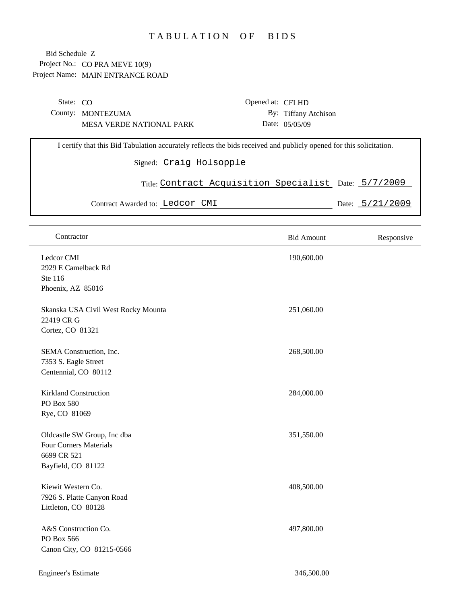## TABULATION OF BIDS

Project No.: CO PRA MEVE 10(9) Project Name: MAIN ENTRANCE ROAD Bid Schedule Z

| State: $CO$                                                                                                                                    |                                 | Opened at: CFLHD                                      |                      |  |                   |  |
|------------------------------------------------------------------------------------------------------------------------------------------------|---------------------------------|-------------------------------------------------------|----------------------|--|-------------------|--|
|                                                                                                                                                | County: MONTEZUMA               |                                                       | By: Tiffany Atchison |  |                   |  |
|                                                                                                                                                | <b>MESA VERDE NATIONAL PARK</b> |                                                       | Date: 05/05/09       |  |                   |  |
| I certify that this Bid Tabulation accurately reflects the bids received and publicly opened for this solicitation.<br>Signed: Craig Holsopple |                                 |                                                       |                      |  |                   |  |
|                                                                                                                                                |                                 |                                                       |                      |  |                   |  |
|                                                                                                                                                |                                 | Title: Contract Acquisition Specialist Date: 5/7/2009 |                      |  |                   |  |
|                                                                                                                                                | Contract Awarded to: Ledcor CMI |                                                       |                      |  | Date: $5/21/2009$ |  |
|                                                                                                                                                |                                 |                                                       |                      |  |                   |  |

| Contractor                                                                                        | <b>Bid Amount</b> | Responsive |
|---------------------------------------------------------------------------------------------------|-------------------|------------|
| Ledcor CMI<br>2929 E Camelback Rd<br>Ste 116<br>Phoenix, AZ 85016                                 | 190,600.00        |            |
| Skanska USA Civil West Rocky Mounta<br>22419 CR G<br>Cortez, CO 81321                             | 251,060.00        |            |
| SEMA Construction, Inc.<br>7353 S. Eagle Street<br>Centennial, CO 80112                           | 268,500.00        |            |
| <b>Kirkland Construction</b><br>PO Box 580<br>Rye, CO 81069                                       | 284,000.00        |            |
| Oldcastle SW Group, Inc dba<br><b>Four Corners Materials</b><br>6699 CR 521<br>Bayfield, CO 81122 | 351,550.00        |            |
| Kiewit Western Co.<br>7926 S. Platte Canyon Road<br>Littleton, CO 80128                           | 408,500.00        |            |
| A&S Construction Co.<br>PO Box 566<br>Canon City, CO 81215-0566                                   | 497,800.00        |            |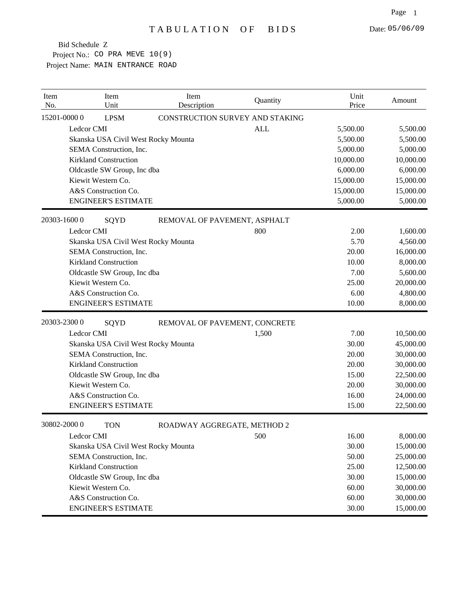Project No.: CO PRA MEVE 10(9) Project Name: MAIN ENTRANCE ROAD Bid Schedule Z

| Item<br>No. | Item<br>Unit                        | Item<br>Description             | Quantity   | Unit<br>Price | Amount    |
|-------------|-------------------------------------|---------------------------------|------------|---------------|-----------|
|             | 15201-00000<br><b>LPSM</b>          | CONSTRUCTION SURVEY AND STAKING |            |               |           |
|             | Ledcor CMI                          |                                 | <b>ALL</b> | 5,500.00      | 5,500.00  |
|             | Skanska USA Civil West Rocky Mounta |                                 |            | 5,500.00      | 5,500.00  |
|             | SEMA Construction, Inc.             |                                 |            | 5,000.00      | 5,000.00  |
|             | <b>Kirkland Construction</b>        |                                 |            | 10,000.00     | 10,000.00 |
|             | Oldcastle SW Group, Inc dba         |                                 |            | 6,000.00      | 6,000.00  |
|             | Kiewit Western Co.                  |                                 |            | 15,000.00     | 15,000.00 |
|             | A&S Construction Co.                |                                 |            | 15,000.00     | 15,000.00 |
|             | <b>ENGINEER'S ESTIMATE</b>          |                                 |            | 5,000.00      | 5,000.00  |
|             | 20303-16000<br>SQYD                 | REMOVAL OF PAVEMENT, ASPHALT    |            |               |           |
|             | Ledcor CMI                          |                                 | 800        | 2.00          | 1,600.00  |
|             | Skanska USA Civil West Rocky Mounta |                                 |            | 5.70          | 4,560.00  |
|             | SEMA Construction, Inc.             |                                 |            | 20.00         | 16,000.00 |
|             | <b>Kirkland Construction</b>        |                                 |            | 10.00         | 8,000.00  |
|             | Oldcastle SW Group, Inc dba         |                                 |            | 7.00          | 5,600.00  |
|             | Kiewit Western Co.                  |                                 |            | 25.00         | 20,000.00 |
|             | A&S Construction Co.                |                                 |            | 6.00          | 4,800.00  |
|             | <b>ENGINEER'S ESTIMATE</b>          |                                 |            | 10.00         | 8,000.00  |
|             | 20303-23000<br>SQYD                 | REMOVAL OF PAVEMENT, CONCRETE   |            |               |           |
|             | Ledcor CMI                          |                                 | 1,500      | 7.00          | 10,500.00 |
|             | Skanska USA Civil West Rocky Mounta |                                 |            | 30.00         | 45,000.00 |
|             | SEMA Construction, Inc.             |                                 |            | 20.00         | 30,000.00 |
|             | <b>Kirkland Construction</b>        |                                 |            | 20.00         | 30,000.00 |
|             | Oldcastle SW Group, Inc dba         |                                 |            | 15.00         | 22,500.00 |
|             | Kiewit Western Co.                  |                                 |            | 20.00         | 30,000.00 |
|             | A&S Construction Co.                |                                 |            | 16.00         | 24,000.00 |
|             | <b>ENGINEER'S ESTIMATE</b>          |                                 |            | 15.00         | 22,500.00 |
|             | 30802-20000<br><b>TON</b>           | ROADWAY AGGREGATE, METHOD 2     |            |               |           |
|             | Ledcor CMI                          |                                 | 500        | 16.00         | 8,000.00  |
|             | Skanska USA Civil West Rocky Mounta |                                 |            | 30.00         | 15,000.00 |
|             | SEMA Construction, Inc.             |                                 |            | 50.00         | 25,000.00 |
|             | <b>Kirkland Construction</b>        |                                 |            | 25.00         | 12,500.00 |
|             | Oldcastle SW Group, Inc dba         |                                 |            | 30.00         | 15,000.00 |
|             | Kiewit Western Co.                  |                                 |            | 60.00         | 30,000.00 |
|             | A&S Construction Co.                |                                 |            | 60.00         | 30,000.00 |
|             | <b>ENGINEER'S ESTIMATE</b>          |                                 |            | 30.00         | 15,000.00 |